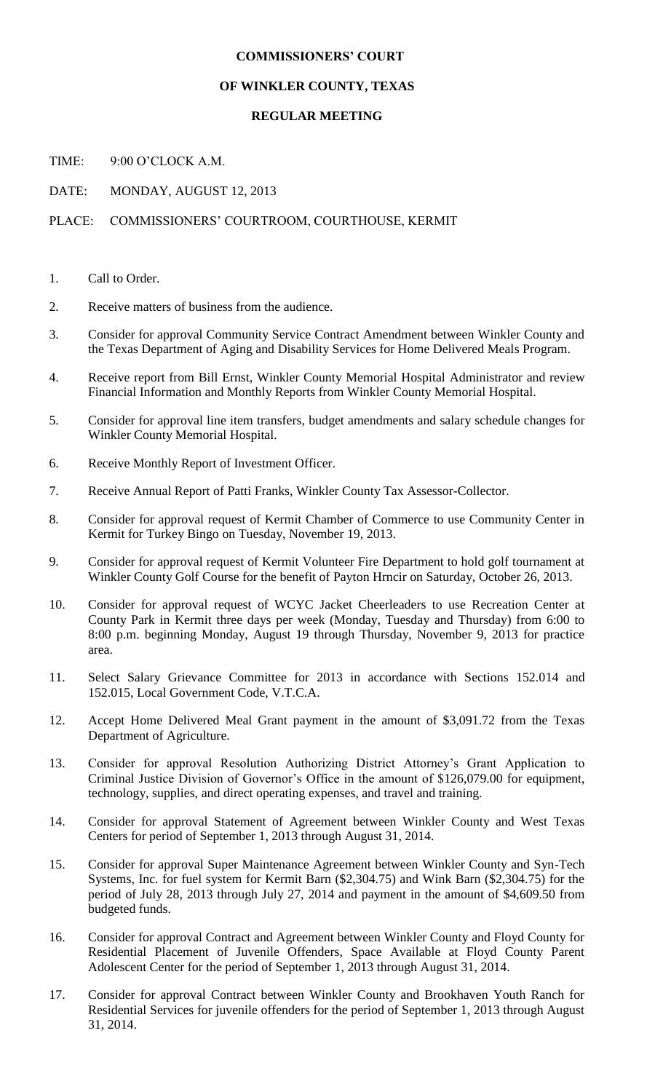## **COMMISSIONERS' COURT**

## **OF WINKLER COUNTY, TEXAS**

## **REGULAR MEETING**

TIME: 9:00 O'CLOCK A.M.

DATE: MONDAY, AUGUST 12, 2013

## PLACE: COMMISSIONERS' COURTROOM, COURTHOUSE, KERMIT

- 1. Call to Order.
- 2. Receive matters of business from the audience.
- 3. Consider for approval Community Service Contract Amendment between Winkler County and the Texas Department of Aging and Disability Services for Home Delivered Meals Program.
- 4. Receive report from Bill Ernst, Winkler County Memorial Hospital Administrator and review Financial Information and Monthly Reports from Winkler County Memorial Hospital.
- 5. Consider for approval line item transfers, budget amendments and salary schedule changes for Winkler County Memorial Hospital.
- 6. Receive Monthly Report of Investment Officer.
- 7. Receive Annual Report of Patti Franks, Winkler County Tax Assessor-Collector.
- 8. Consider for approval request of Kermit Chamber of Commerce to use Community Center in Kermit for Turkey Bingo on Tuesday, November 19, 2013.
- 9. Consider for approval request of Kermit Volunteer Fire Department to hold golf tournament at Winkler County Golf Course for the benefit of Payton Hrncir on Saturday, October 26, 2013.
- 10. Consider for approval request of WCYC Jacket Cheerleaders to use Recreation Center at County Park in Kermit three days per week (Monday, Tuesday and Thursday) from 6:00 to 8:00 p.m. beginning Monday, August 19 through Thursday, November 9, 2013 for practice area.
- 11. Select Salary Grievance Committee for 2013 in accordance with Sections 152.014 and 152.015, Local Government Code, V.T.C.A.
- 12. Accept Home Delivered Meal Grant payment in the amount of \$3,091.72 from the Texas Department of Agriculture.
- 13. Consider for approval Resolution Authorizing District Attorney's Grant Application to Criminal Justice Division of Governor's Office in the amount of \$126,079.00 for equipment, technology, supplies, and direct operating expenses, and travel and training.
- 14. Consider for approval Statement of Agreement between Winkler County and West Texas Centers for period of September 1, 2013 through August 31, 2014.
- 15. Consider for approval Super Maintenance Agreement between Winkler County and Syn-Tech Systems, Inc. for fuel system for Kermit Barn (\$2,304.75) and Wink Barn (\$2,304.75) for the period of July 28, 2013 through July 27, 2014 and payment in the amount of \$4,609.50 from budgeted funds.
- 16. Consider for approval Contract and Agreement between Winkler County and Floyd County for Residential Placement of Juvenile Offenders, Space Available at Floyd County Parent Adolescent Center for the period of September 1, 2013 through August 31, 2014.
- 17. Consider for approval Contract between Winkler County and Brookhaven Youth Ranch for Residential Services for juvenile offenders for the period of September 1, 2013 through August 31, 2014.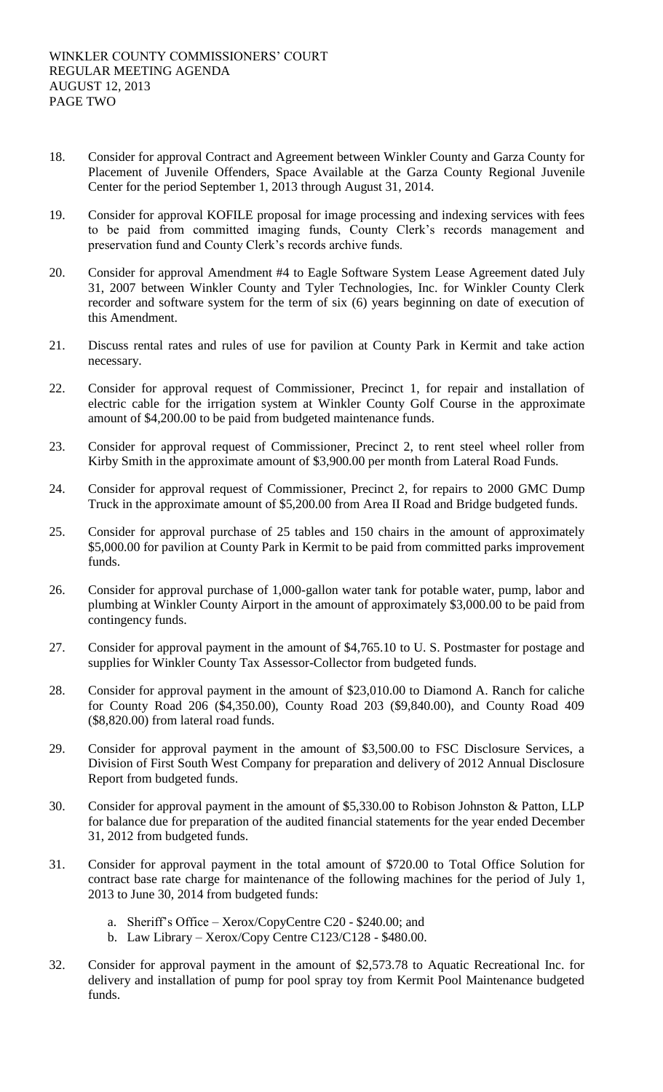- 18. Consider for approval Contract and Agreement between Winkler County and Garza County for Placement of Juvenile Offenders, Space Available at the Garza County Regional Juvenile Center for the period September 1, 2013 through August 31, 2014.
- 19. Consider for approval KOFILE proposal for image processing and indexing services with fees to be paid from committed imaging funds, County Clerk's records management and preservation fund and County Clerk's records archive funds.
- 20. Consider for approval Amendment #4 to Eagle Software System Lease Agreement dated July 31, 2007 between Winkler County and Tyler Technologies, Inc. for Winkler County Clerk recorder and software system for the term of six (6) years beginning on date of execution of this Amendment.
- 21. Discuss rental rates and rules of use for pavilion at County Park in Kermit and take action necessary.
- 22. Consider for approval request of Commissioner, Precinct 1, for repair and installation of electric cable for the irrigation system at Winkler County Golf Course in the approximate amount of \$4,200.00 to be paid from budgeted maintenance funds.
- 23. Consider for approval request of Commissioner, Precinct 2, to rent steel wheel roller from Kirby Smith in the approximate amount of \$3,900.00 per month from Lateral Road Funds.
- 24. Consider for approval request of Commissioner, Precinct 2, for repairs to 2000 GMC Dump Truck in the approximate amount of \$5,200.00 from Area II Road and Bridge budgeted funds.
- 25. Consider for approval purchase of 25 tables and 150 chairs in the amount of approximately \$5,000.00 for pavilion at County Park in Kermit to be paid from committed parks improvement funds.
- 26. Consider for approval purchase of 1,000-gallon water tank for potable water, pump, labor and plumbing at Winkler County Airport in the amount of approximately \$3,000.00 to be paid from contingency funds.
- 27. Consider for approval payment in the amount of \$4,765.10 to U. S. Postmaster for postage and supplies for Winkler County Tax Assessor-Collector from budgeted funds.
- 28. Consider for approval payment in the amount of \$23,010.00 to Diamond A. Ranch for caliche for County Road 206 (\$4,350.00), County Road 203 (\$9,840.00), and County Road 409 (\$8,820.00) from lateral road funds.
- 29. Consider for approval payment in the amount of \$3,500.00 to FSC Disclosure Services, a Division of First South West Company for preparation and delivery of 2012 Annual Disclosure Report from budgeted funds.
- 30. Consider for approval payment in the amount of \$5,330.00 to Robison Johnston & Patton, LLP for balance due for preparation of the audited financial statements for the year ended December 31, 2012 from budgeted funds.
- 31. Consider for approval payment in the total amount of \$720.00 to Total Office Solution for contract base rate charge for maintenance of the following machines for the period of July 1, 2013 to June 30, 2014 from budgeted funds:
	- a. Sheriff's Office Xerox/CopyCentre C20 \$240.00; and
	- b. Law Library Xerox/Copy Centre C123/C128 \$480.00.
- 32. Consider for approval payment in the amount of \$2,573.78 to Aquatic Recreational Inc. for delivery and installation of pump for pool spray toy from Kermit Pool Maintenance budgeted funds.